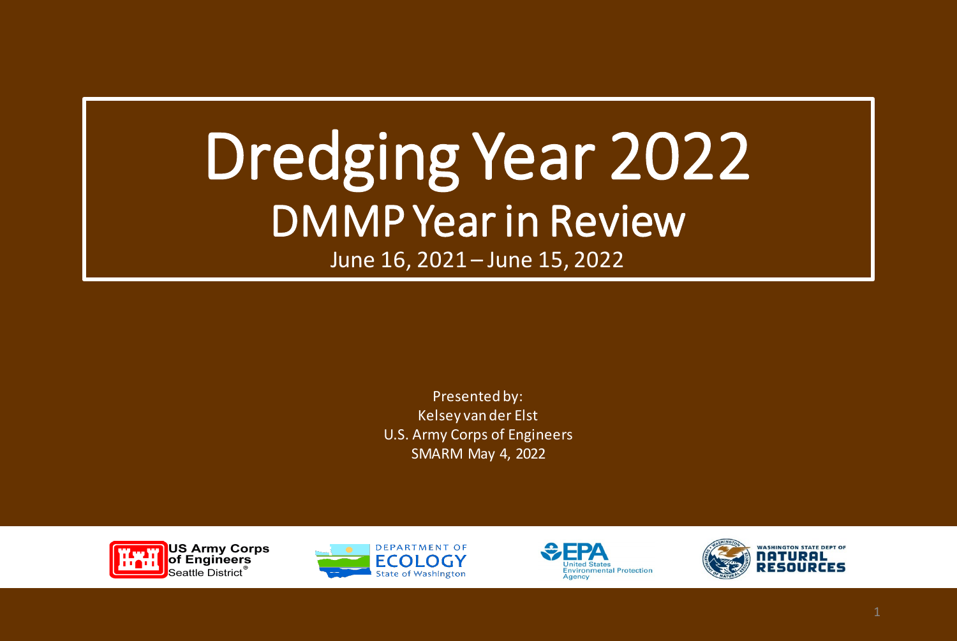# Dredging Year 2022 DMMP Year in Review

June 16, 2021 – June 15, 2022

Presented by: Kelsey van der Elst U.S. Army Corps of Engineers SMARM May 4, 2022







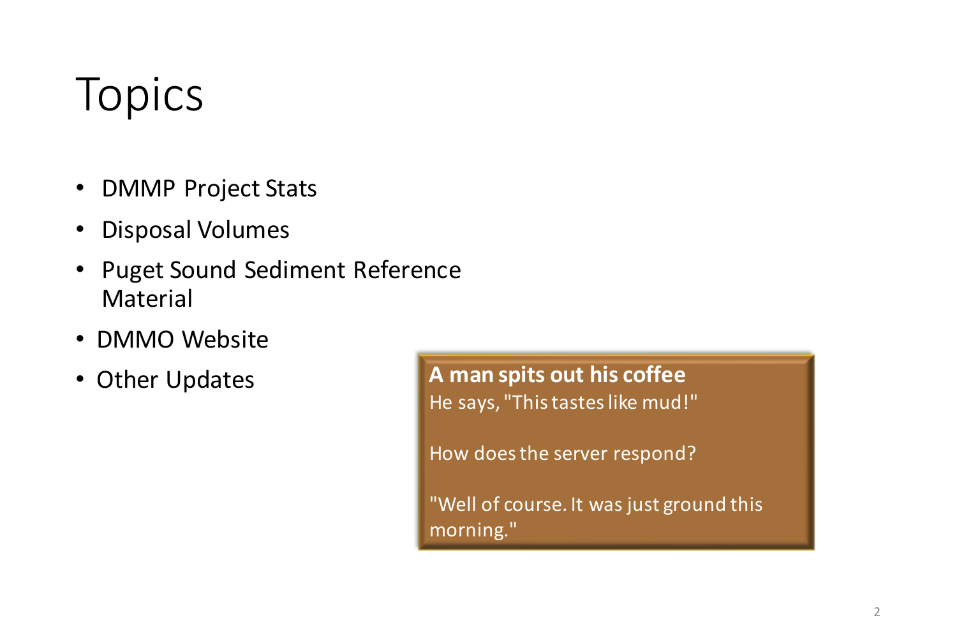## Topics

- DMMP Project Stats
- Disposal Volumes
- Puget Sound Sediment Reference Material
- DMMO Website
- Other Updates

**A man spits out his coffee** He says, "This tastes like mud!"

How does the server respond?

"Well of course. It was just ground this morning."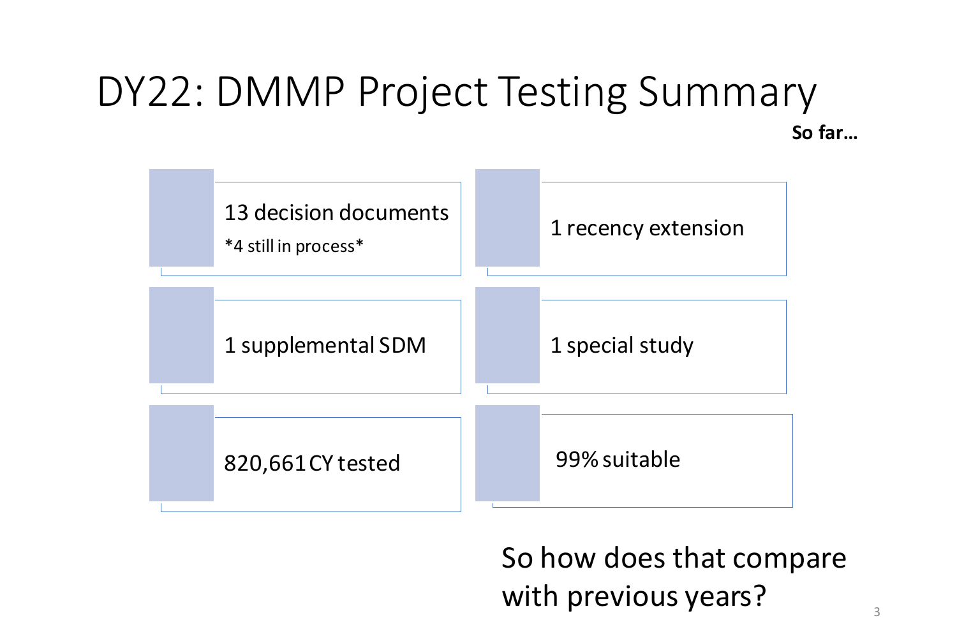#### DY22: DMMP Project Testing Summary **So far…**



So how does that compare with previous years?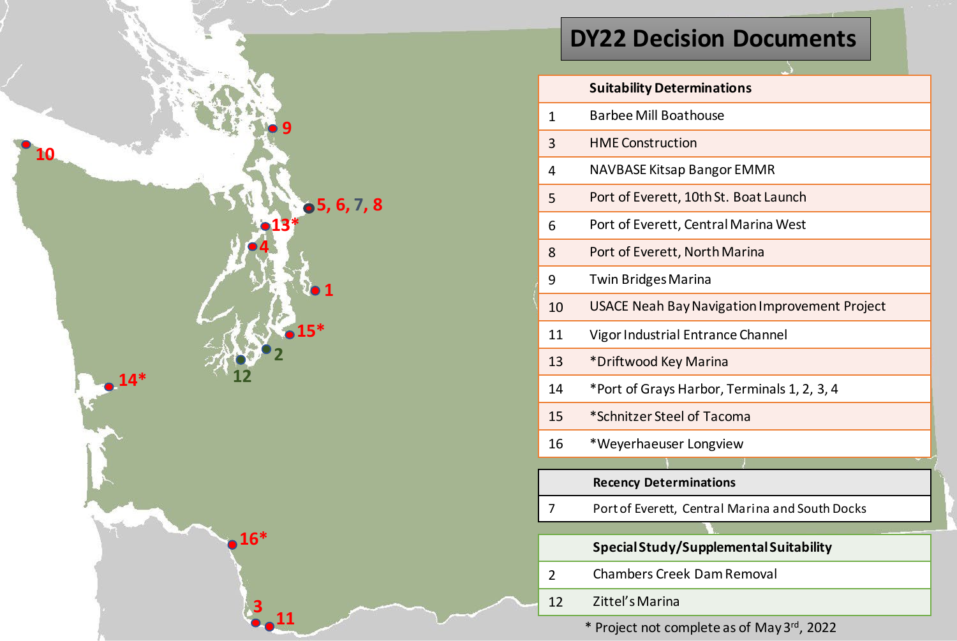

#### **DY22 Decision Documents**

|               | <b>Suitability Determinations</b>                    |
|---------------|------------------------------------------------------|
| 1             | <b>Barbee Mill Boathouse</b>                         |
| 3             | <b>HME Construction</b>                              |
| 4             | NAVBASE Kitsap Bangor EMMR                           |
| 5             | Port of Everett, 10th St. Boat Launch                |
| 6             | Port of Everett, Central Marina West                 |
| 8             | Port of Everett, North Marina                        |
| 9             | <b>Twin Bridges Marina</b>                           |
| 10            | <b>USACE Neah Bay Navigation Improvement Project</b> |
| 11            | Vigor Industrial Entrance Channel                    |
| 13            | *Driftwood Key Marina                                |
| 14            | *Port of Grays Harbor, Terminals 1, 2, 3, 4          |
| 15            | *Schnitzer Steel of Tacoma                           |
| 16            | *Weyerhaeuser Longview                               |
|               |                                                      |
|               | <b>Recency Determinations</b>                        |
| 7             | Port of Everett, Central Marina and South Docks      |
|               |                                                      |
|               | Special Study/Supplemental Suitability               |
| $\mathcal{P}$ | <b>Chambers Creek Dam Removal</b>                    |
| 12            | Zittel's Marina                                      |

\* Project not complete as of May 3rd, 2022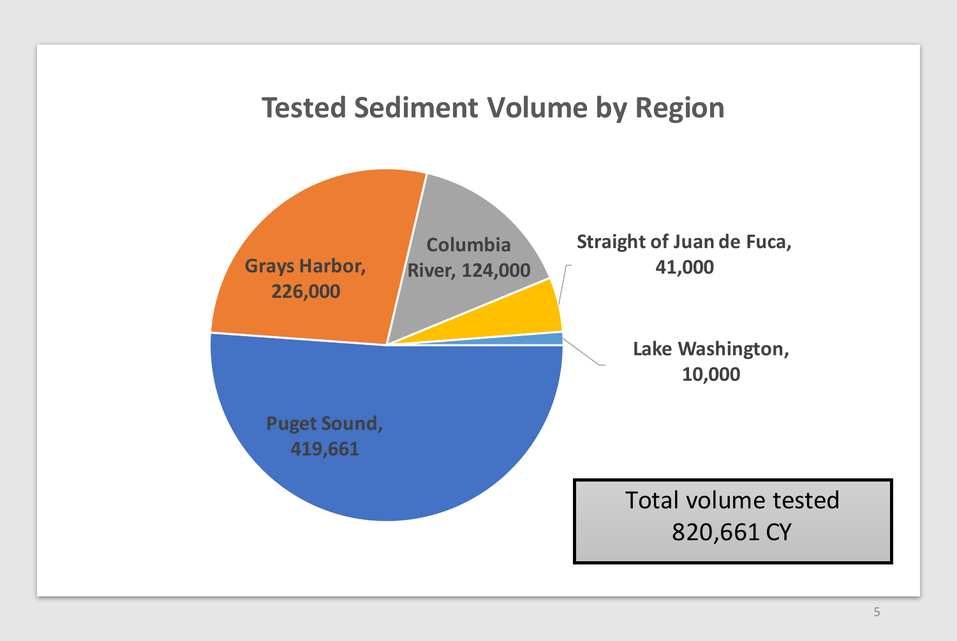#### **Tested Sediment Volume by Region**

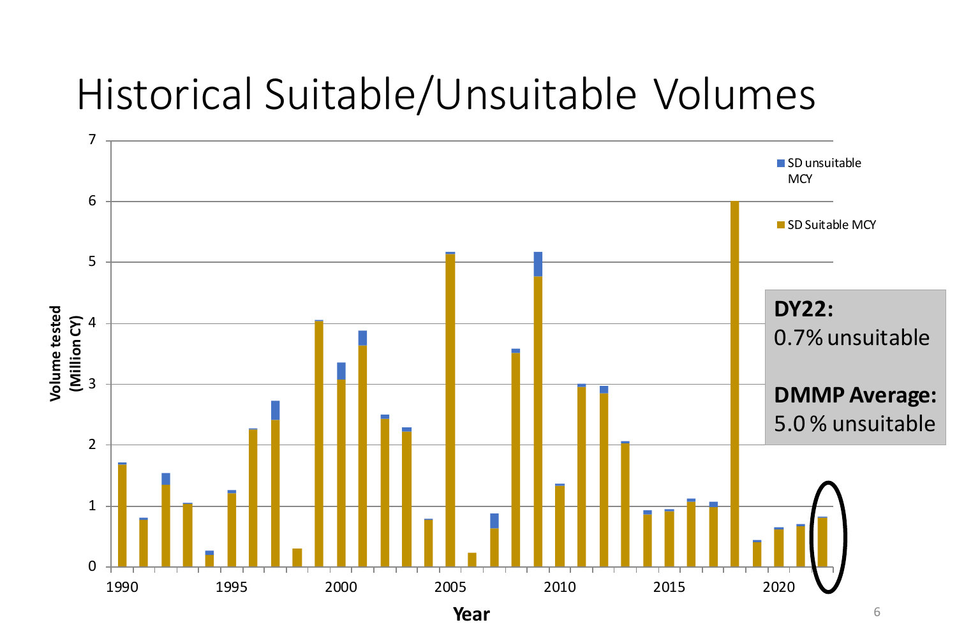### Historical Suitable/Unsuitable Volumes



6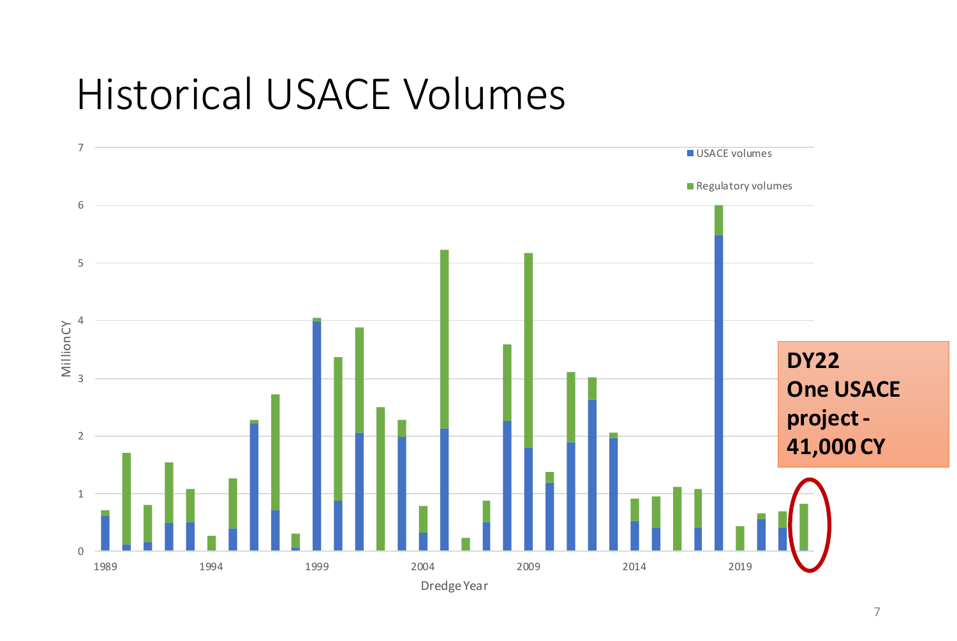### Historical USACE Volumes

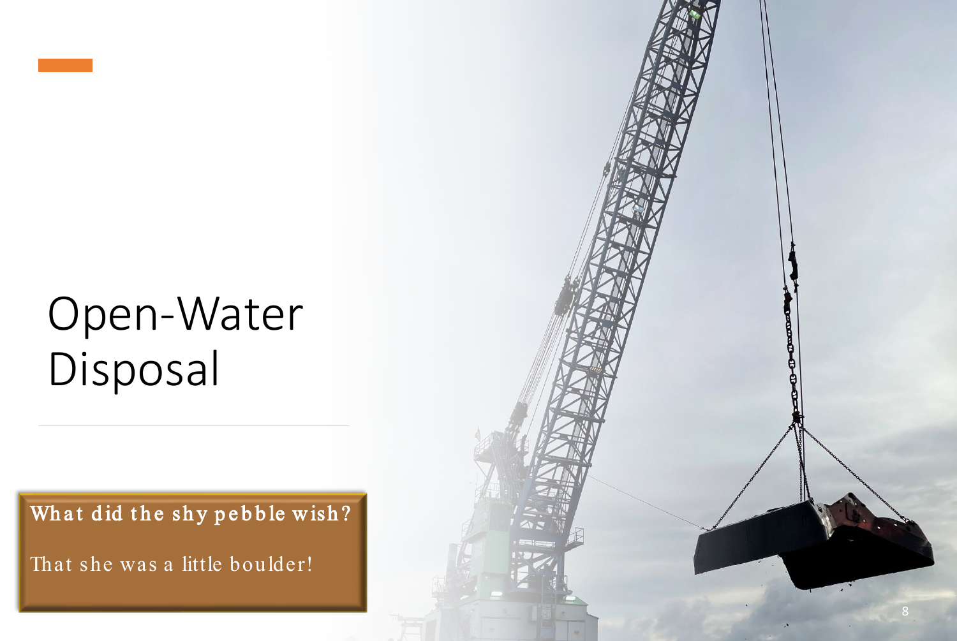## Open -Water Disposal

What did the shy pebble wish?

That she was a little boulder!

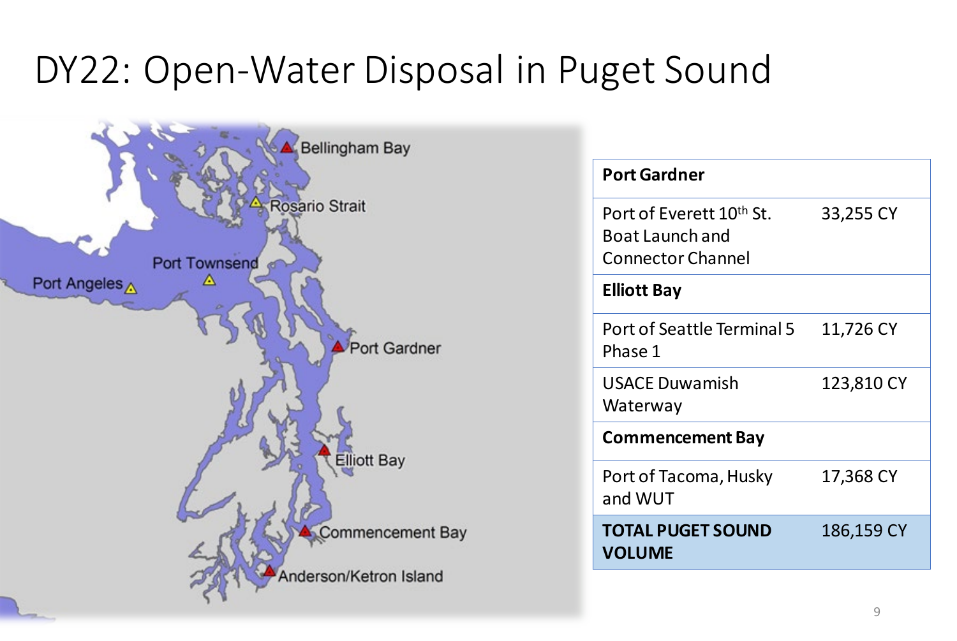### DY22: Open-Water Disposal in Puget Sound



| <b>Port Gardner</b>                                                                        |            |
|--------------------------------------------------------------------------------------------|------------|
| Port of Everett 10 <sup>th</sup> St.<br><b>Boat Launch and</b><br><b>Connector Channel</b> | 33,255 CY  |
| <b>Elliott Bay</b>                                                                         |            |
| Port of Seattle Terminal 5<br>Phase 1                                                      | 11,726 CY  |
| <b>USACE Duwamish</b><br>Waterway                                                          | 123,810 CY |
| <b>Commencement Bay</b>                                                                    |            |
| Port of Tacoma, Husky<br>and WUT                                                           | 17,368 CY  |
| <b>TOTAL PUGET SOUND</b><br><b>VOLUME</b>                                                  | 186,159 CY |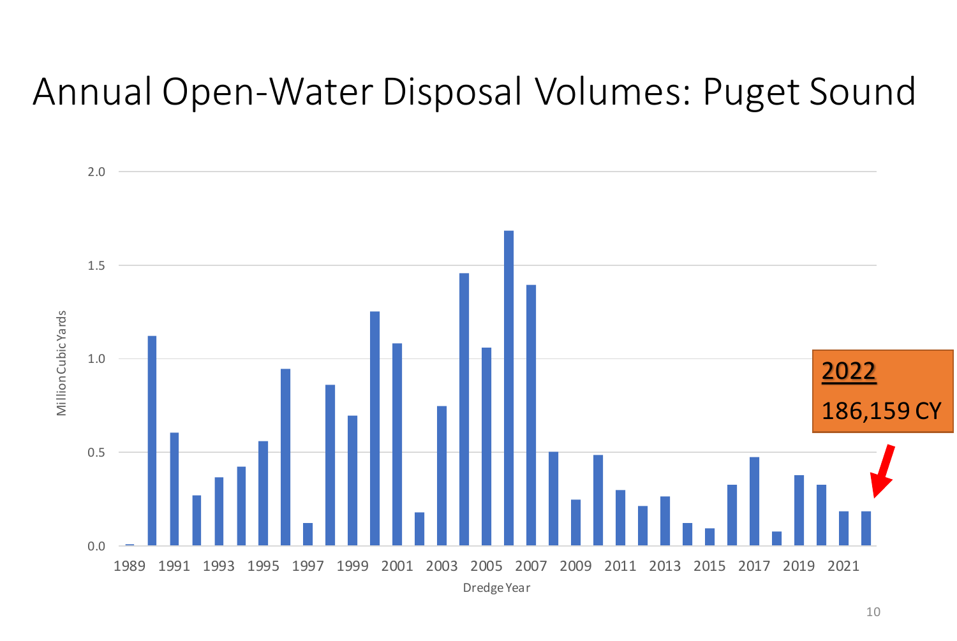### Annual Open-Water Disposal Volumes: Puget Sound

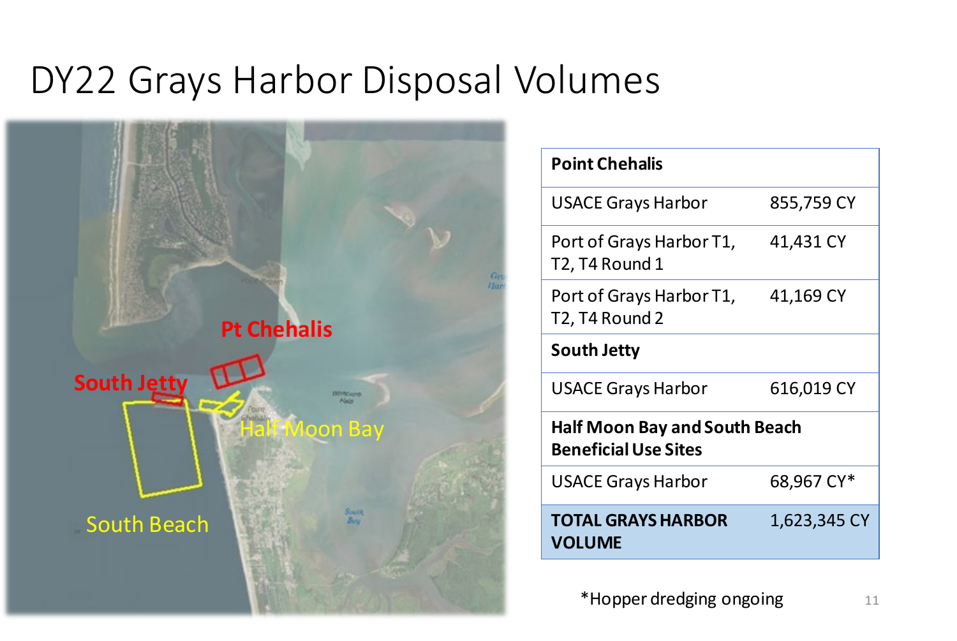### DY22 Grays Harbor Disposal Volumes



| <b>Point Chehalis</b>                                               |              |
|---------------------------------------------------------------------|--------------|
| <b>USACE Grays Harbor</b>                                           | 855,759 CY   |
| Port of Grays Harbor T1,<br>T2, T4 Round 1                          | 41,431 CY    |
| Port of Grays Harbor T1,<br>T2, T4 Round 2                          | 41,169 CY    |
| South Jetty                                                         |              |
| <b>USACE Grays Harbor</b>                                           | 616,019 CY   |
| <b>Half Moon Bay and South Beach</b><br><b>Beneficial Use Sites</b> |              |
| <b>USACE Grays Harbor</b>                                           | 68,967 CY*   |
| <b>TOTAL GRAYS HARBOR</b><br><b>VOLUME</b>                          | 1,623,345 CY |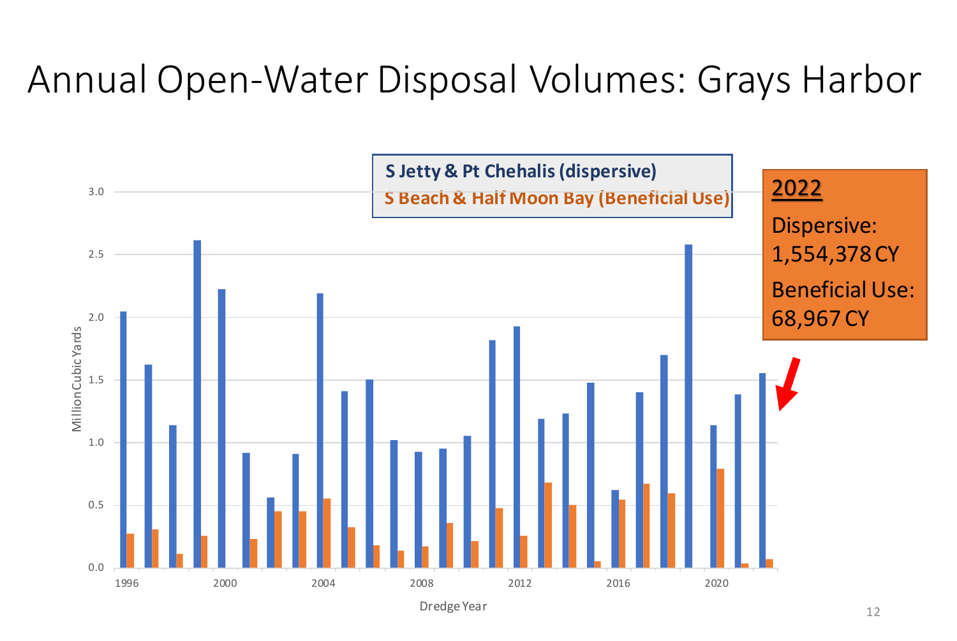### Annual Open-Water Disposal Volumes: Grays Harbor



Dredge Year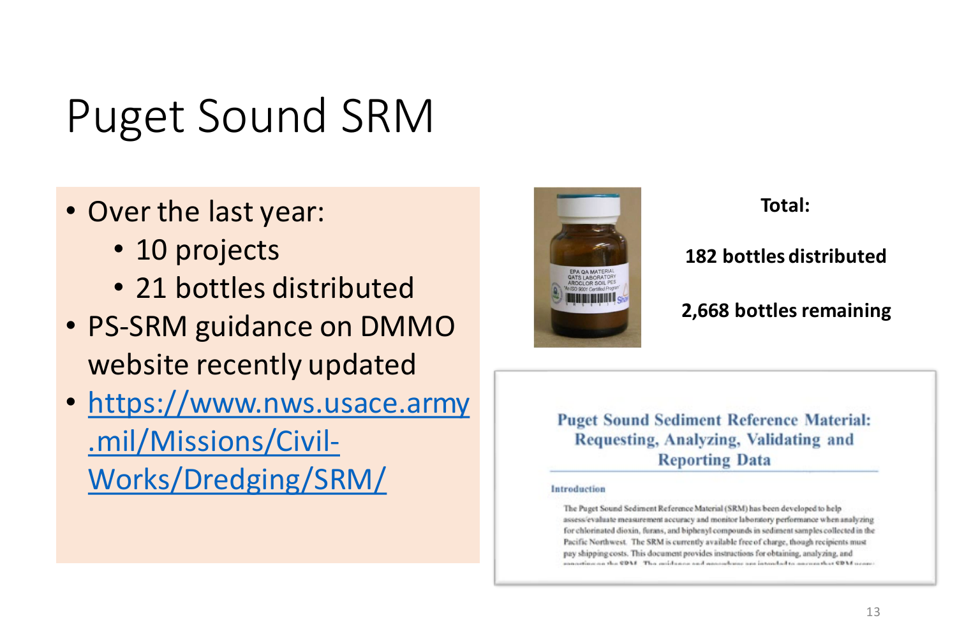## Puget Sound SRM

- Over the last year:
	- 10 projects
	- 21 bottles distributed
- PS-SRM guidance on DMMO website recently updated
- [https://www.nws.usace.army](https://www.nws.usace.army.mil/Missions/Civil-Works/Dredging/SRM/) .mil/Missions/Civil-Works/Dredging/SRM/



#### **Total:**

#### **182 bottles distributed**

#### **2,668 bottles remaining**

**Puget Sound Sediment Reference Material:** Requesting, Analyzing, Validating and **Reporting Data** 

#### Introduction

The Puget Sound Sediment Reference Material (SRM) has been developed to help assess/evaluate measurement accuracy and monitor laboratory performance when analyzing for chlorinated dioxin, furans, and biphenyl compounds in sediment samples collected in the Pacific Northwest. The SRM is currently available free of charge, though recipients must pay shipping costs. This document provides instructions for obtaining, analyzing, and connection on the CDM. This middeness and approximations are intended to maximative CDM scores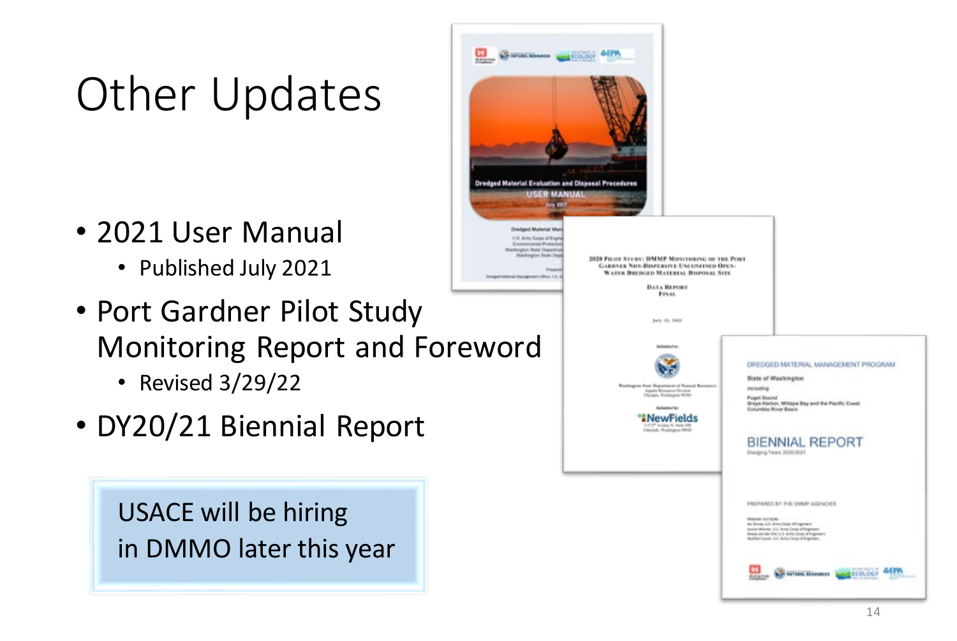## Other Updates

- 2021 User Manual
	- Published July 2021
- Port Gardner Pilot Study Monitoring Report and Foreword
	- Revised 3/29/22
- DY20/21 Biennial Report

USACE will be hiring in DMMO later this year

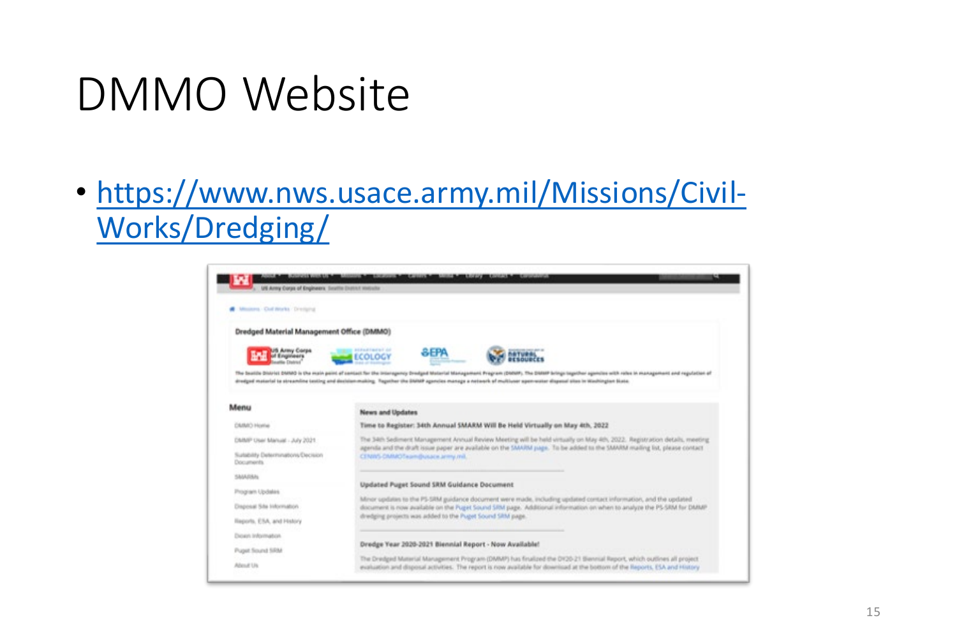## DMMO Website

• [https://www.nws.usace.army.mil/Missions/Civil-](https://www.nws.usace.army.mil/Missions/Civil-Works/Dredging/)Works/Dredging/

| Dredged Material Management Office (DMMO)         |                                                                                                                                                                                                                                                                                                                                                                               |  |  |
|---------------------------------------------------|-------------------------------------------------------------------------------------------------------------------------------------------------------------------------------------------------------------------------------------------------------------------------------------------------------------------------------------------------------------------------------|--|--|
| US Arew Corps<br>of Everywaars                    | <b>ASPARTMENT AR</b><br><b>SEPA</b><br><b>ECOLOGY</b>                                                                                                                                                                                                                                                                                                                         |  |  |
|                                                   | The Seattle District DARAD is the main paint of sentast for the interopency Dredged Material Management Program (DANAP). The DARAP beings together openites with rates in management and regulation of<br>dredged material to streamline testing and decision-making. Tegether the DMMP agencies manage a network of multivaer spen-water disposal sites in Washington State. |  |  |
| Menu                                              | News and Updates                                                                                                                                                                                                                                                                                                                                                              |  |  |
| CAINCO Horive                                     | Time to Register: 34th Annual SMARM WIll Be Held Virtually on May 4th, 2022                                                                                                                                                                                                                                                                                                   |  |  |
| DMMP User Manual - July 2021                      | The 34th Sediment Management Annual Review Meeting will be held wrtually on May 4th, 2022. Registration details, meeting                                                                                                                                                                                                                                                      |  |  |
| Sustability Determinations/Decision<br>Documents. | agenda and the draft issue paper are available on the SMARM juge. To be added to the SMARM mailing list, please contact<br>CENNYL CARACTERING ALL AT MALL                                                                                                                                                                                                                     |  |  |
| SAMINA                                            |                                                                                                                                                                                                                                                                                                                                                                               |  |  |
| Program Updates                                   | Updated Puget Sound SRM Guidance Document                                                                                                                                                                                                                                                                                                                                     |  |  |
| Draposal Site Information                         | Minor spidates to the PS-SRM guidance document were made, including updated contact information, and the updated<br>document is now available on the Puget Sound SRM page. Additional information on when to analyze the PS-SRM for DMMP<br>dradging projects was added to the Puget Sound SRM page.                                                                          |  |  |
| Illaports, ESA, and History                       |                                                                                                                                                                                                                                                                                                                                                                               |  |  |
|                                                   |                                                                                                                                                                                                                                                                                                                                                                               |  |  |
| Dioxin Information                                | Dredge Year 2020-2021 Biennial Report - Now Available!                                                                                                                                                                                                                                                                                                                        |  |  |